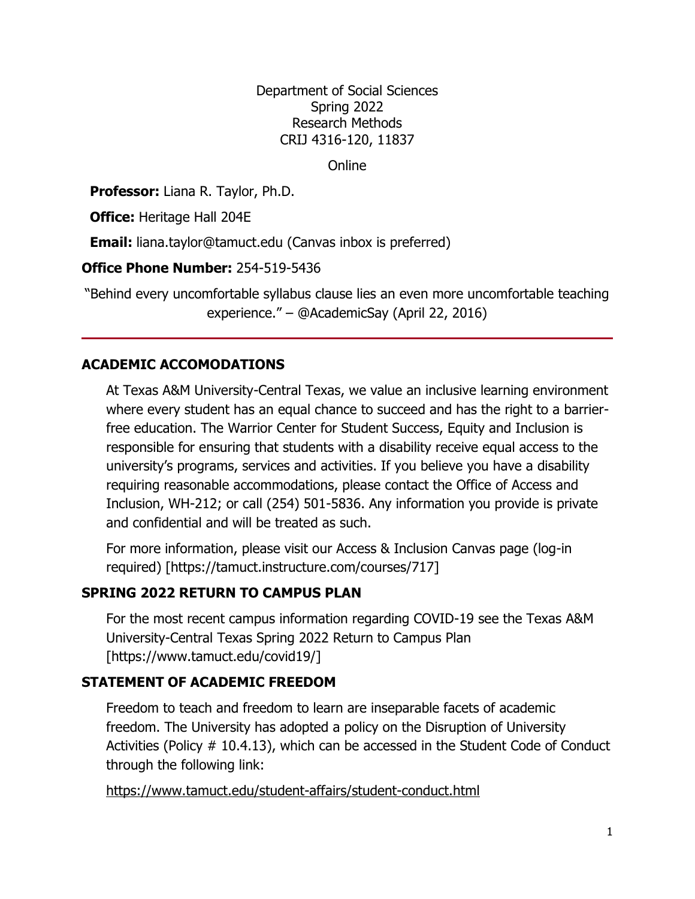Department of Social Sciences Spring 2022 Research Methods CRIJ 4316-120, 11837

**Online** 

**Professor:** Liana R. Taylor, Ph.D.

**Office:** Heritage Hall 204E

**Email:** [liana.taylor@tamuct.edu](mailto:liana.taylor@tamuct.edu) (Canvas inbox is preferred)

**Office Phone Number:** 254-519-5436

"Behind every uncomfortable syllabus clause lies an even more uncomfortable teaching experience." – @AcademicSay (April 22, 2016)

### **ACADEMIC ACCOMODATIONS**

At Texas A&M University-Central Texas, we value an inclusive learning environment where every student has an equal chance to succeed and has the right to a barrierfree education. The Warrior Center for Student Success, Equity and Inclusion is responsible for ensuring that students with a disability receive equal access to the university's programs, services and activities. If you believe you have a disability requiring reasonable accommodations, please contact the Office of Access and Inclusion, WH-212; or call (254) 501-5836. Any information you provide is private and confidential and will be treated as such.

For more information, please visit our Access & Inclusion Canvas page (log-in required) [https://tamuct.instructure.com/courses/717]

## **SPRING 2022 RETURN TO CAMPUS PLAN**

For the most recent campus information regarding COVID-19 see the Texas A&M University-Central Texas Spring 2022 Return to Campus Plan [https://www.tamuct.edu/covid19/]

### **STATEMENT OF ACADEMIC FREEDOM**

Freedom to teach and freedom to learn are inseparable facets of academic freedom. The University has adopted a policy on the Disruption of University Activities (Policy # 10.4.13), which can be accessed in the Student Code of Conduct through the following link:

<https://www.tamuct.edu/student-affairs/student-conduct.html>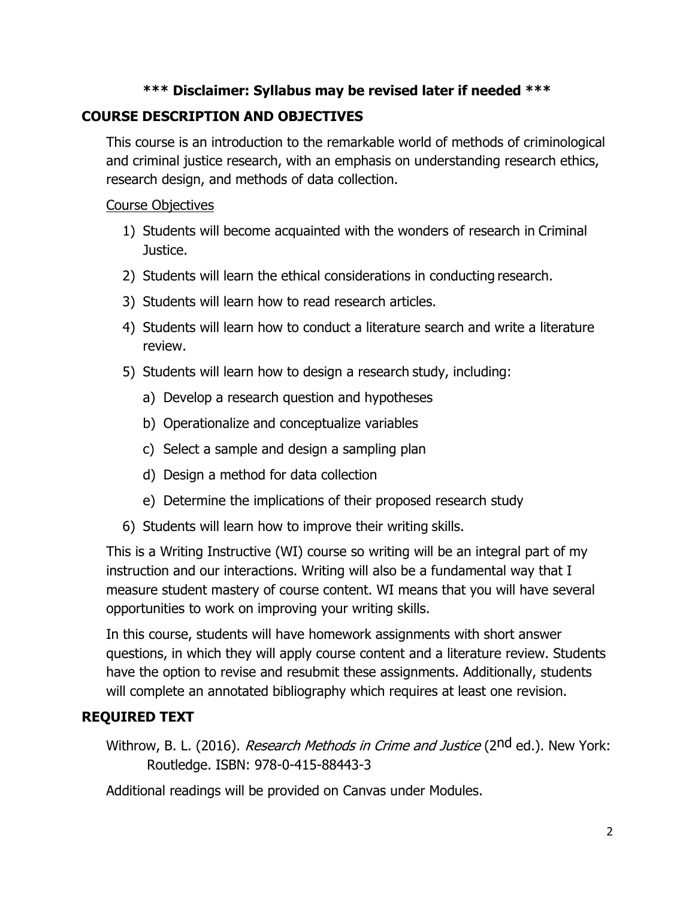#### **\*\*\* Disclaimer: Syllabus may be revised later if needed \*\*\***

## **COURSE DESCRIPTION AND OBJECTIVES**

This course is an introduction to the remarkable world of methods of criminological and criminal justice research, with an emphasis on understanding research ethics, research design, and methods of data collection.

#### Course Objectives

- 1) Students will become acquainted with the wonders of research in Criminal Justice.
- 2) Students will learn the ethical considerations in conducting research.
- 3) Students will learn how to read research articles.
- 4) Students will learn how to conduct a literature search and write a literature review.
- 5) Students will learn how to design a research study, including:
	- a) Develop a research question and hypotheses
	- b) Operationalize and conceptualize variables
	- c) Select a sample and design a sampling plan
	- d) Design a method for data collection
	- e) Determine the implications of their proposed research study
- 6) Students will learn how to improve their writing skills.

This is a Writing Instructive (WI) course so writing will be an integral part of my instruction and our interactions. Writing will also be a fundamental way that I measure student mastery of course content. WI means that you will have several opportunities to work on improving your writing skills.

In this course, students will have homework assignments with short answer questions, in which they will apply course content and a literature review. Students have the option to revise and resubmit these assignments. Additionally, students will complete an annotated bibliography which requires at least one revision.

# **REQUIRED TEXT**

Withrow, B. L. (2016). *Research Methods in Crime and Justice* (2<sup>nd</sup> ed.). New York: Routledge. ISBN: 978-0-415-88443-3

Additional readings will be provided on Canvas under Modules.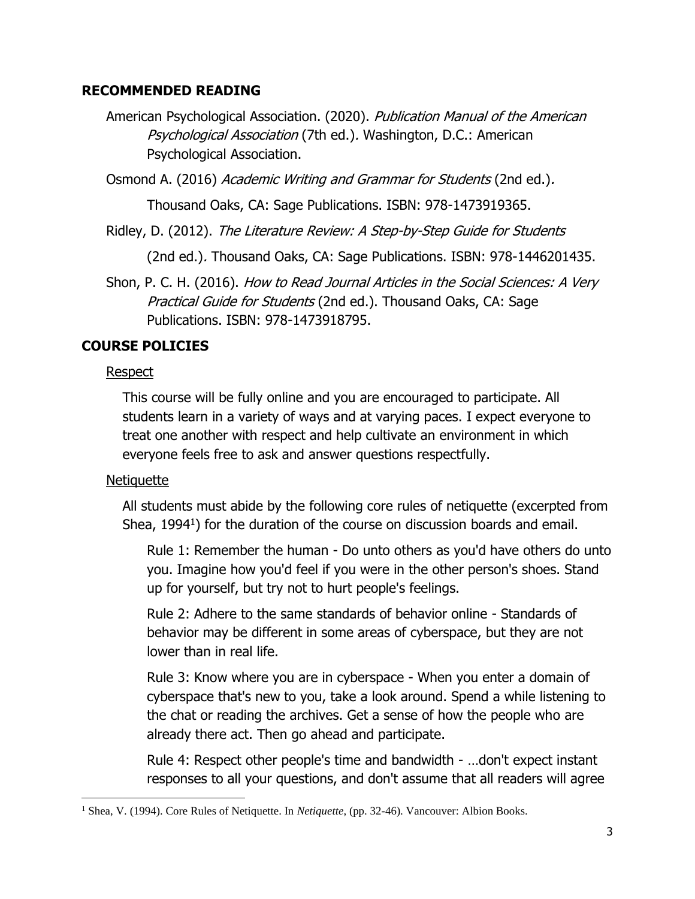#### **RECOMMENDED READING**

American Psychological Association. (2020). Publication Manual of the American Psychological Association (7th ed.). Washington, D.C.: American Psychological Association.

Osmond A. (2016) Academic Writing and Grammar for Students (2nd ed.).

Thousand Oaks, CA: Sage Publications. ISBN: 978-1473919365.

Ridley, D. (2012). The Literature Review: A Step-by-Step Guide for Students

(2nd ed.). Thousand Oaks, CA: Sage Publications. ISBN: 978-1446201435.

Shon, P. C. H. (2016). How to Read Journal Articles in the Social Sciences: A Very Practical Guide for Students (2nd ed.). Thousand Oaks, CA: Sage Publications. ISBN: 978-1473918795.

## **COURSE POLICIES**

### Respect

This course will be fully online and you are encouraged to participate. All students learn in a variety of ways and at varying paces. I expect everyone to treat one another with respect and help cultivate an environment in which everyone feels free to ask and answer questions respectfully.

### Netiquette

All students must abide by the following core rules of netiquette (excerpted from Shea, 1994<sup>1</sup>) for the duration of the course on discussion boards and email.

Rule 1: Remember the human - Do unto others as you'd have others do unto you. Imagine how you'd feel if you were in the other person's shoes. Stand up for yourself, but try not to hurt people's feelings.

Rule 2: Adhere to the same standards of behavior online - Standards of behavior may be different in some areas of cyberspace, but they are not lower than in real life.

Rule 3: Know where you are in cyberspace - When you enter a domain of cyberspace that's new to you, take a look around. Spend a while listening to the chat or reading the archives. Get a sense of how the people who are already there act. Then go ahead and participate.

Rule 4: Respect other people's time and bandwidth - …don't expect instant responses to all your questions, and don't assume that all readers will agree

<sup>&</sup>lt;sup>1</sup> Shea, V. (1994). Core Rules of Netiquette. In *Netiquette*, (pp. 32-46). Vancouver: Albion Books.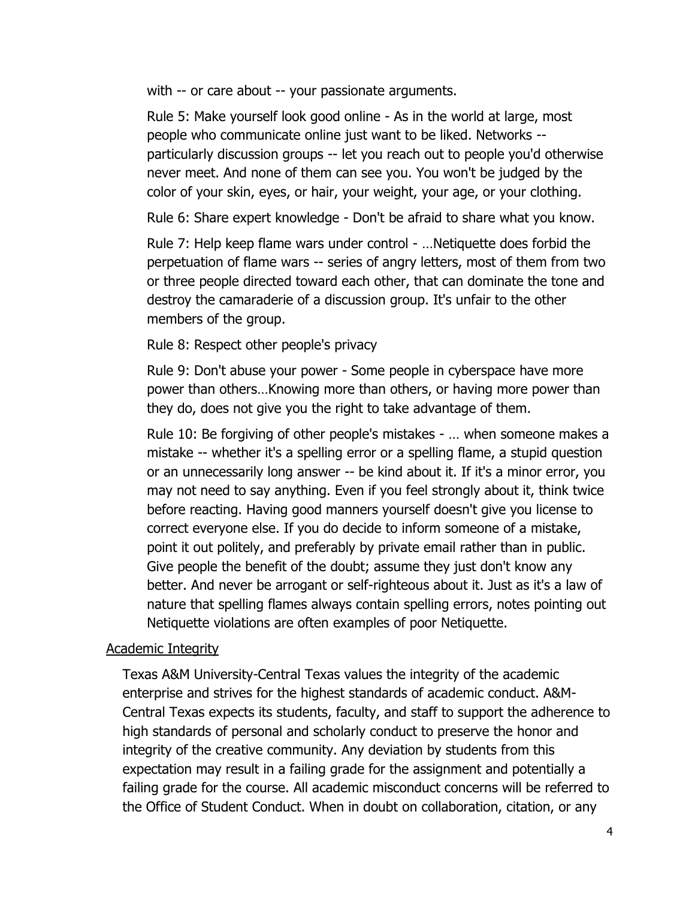with -- or care about -- your passionate arguments.

Rule 5: Make yourself look good online - As in the world at large, most people who communicate online just want to be liked. Networks - particularly discussion groups -- let you reach out to people you'd otherwise never meet. And none of them can see you. You won't be judged by the color of your skin, eyes, or hair, your weight, your age, or your clothing.

Rule 6: Share expert knowledge - Don't be afraid to share what you know.

Rule 7: Help keep flame wars under control - …Netiquette does forbid the perpetuation of flame wars -- series of angry letters, most of them from two or three people directed toward each other, that can dominate the tone and destroy the camaraderie of a discussion group. It's unfair to the other members of the group.

Rule 8: Respect other people's privacy

Rule 9: Don't abuse your power - Some people in cyberspace have more power than others…Knowing more than others, or having more power than they do, does not give you the right to take advantage of them.

Rule 10: Be forgiving of other people's mistakes - … when someone makes a mistake -- whether it's a spelling error or a spelling flame, a stupid question or an unnecessarily long answer -- be kind about it. If it's a minor error, you may not need to say anything. Even if you feel strongly about it, think twice before reacting. Having good manners yourself doesn't give you license to correct everyone else. If you do decide to inform someone of a mistake, point it out politely, and preferably by private email rather than in public. Give people the benefit of the doubt; assume they just don't know any better. And never be arrogant or self-righteous about it. Just as it's a law of nature that spelling flames always contain spelling errors, notes pointing out Netiquette violations are often examples of poor Netiquette.

#### Academic Integrity

Texas A&M University-Central Texas values the integrity of the academic enterprise and strives for the highest standards of academic conduct. A&M-Central Texas expects its students, faculty, and staff to support the adherence to high standards of personal and scholarly conduct to preserve the honor and integrity of the creative community. Any deviation by students from this expectation may result in a failing grade for the assignment and potentially a failing grade for the course. All academic misconduct concerns will be referred to the Office of Student Conduct. When in doubt on collaboration, citation, or any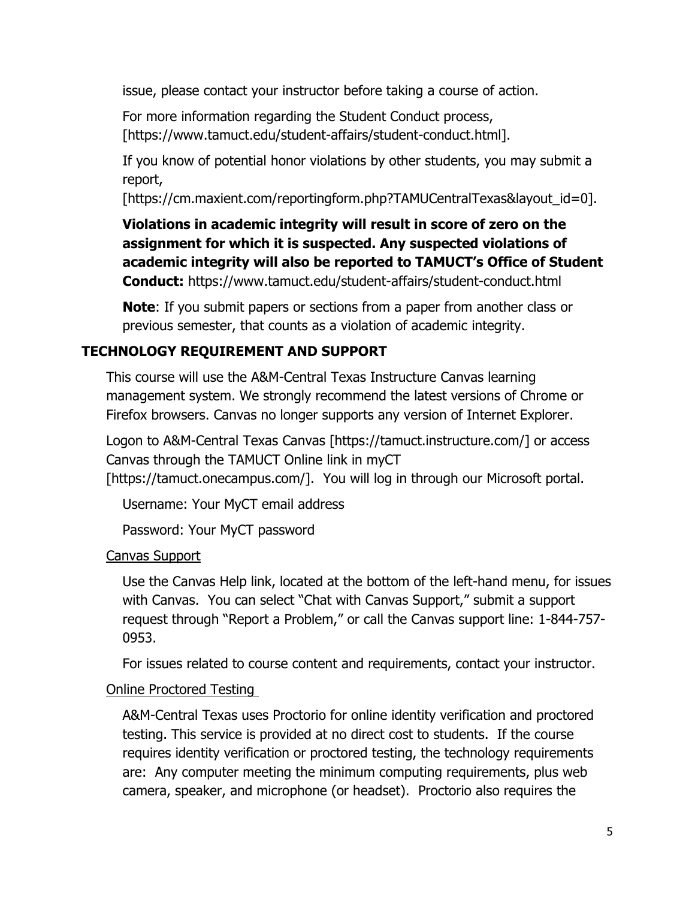issue, please contact your instructor before taking a course of action.

For more information regarding the Student Conduct process, [https://www.tamuct.edu/student-affairs/student-conduct.html].

If you know of potential honor violations by other students, you may submit a report,

[https://cm.maxient.com/reportingform.php?TAMUCentralTexas&layout\_id=0].

**Violations in academic integrity will result in score of zero on the assignment for which it is suspected. Any suspected violations of academic integrity will also be reported to TAMUCT's Office of Student Conduct:** https://www.tamuct.edu/student-affairs/student-conduct.html

**Note**: If you submit papers or sections from a paper from another class or previous semester, that counts as a violation of academic integrity.

# **TECHNOLOGY REQUIREMENT AND SUPPORT**

This course will use the A&M-Central Texas Instructure Canvas learning management system. We strongly recommend the latest versions of Chrome or Firefox browsers. Canvas no longer supports any version of Internet Explorer.

Logon to A&M-Central Texas Canvas [https://tamuct.instructure.com/] or access Canvas through the TAMUCT Online link in myCT [https://tamuct.onecampus.com/]. You will log in through our Microsoft portal.

Username: Your MyCT email address

Password: Your MyCT password

Canvas Support

Use the Canvas Help link, located at the bottom of the left-hand menu, for issues with Canvas. You can select "Chat with Canvas Support," submit a support request through "Report a Problem," or call the Canvas support line: 1-844-757- 0953.

For issues related to course content and requirements, contact your instructor.

### Online Proctored Testing

A&M-Central Texas uses Proctorio for online identity verification and proctored testing. This service is provided at no direct cost to students. If the course requires identity verification or proctored testing, the technology requirements are: Any computer meeting the minimum computing requirements, plus web camera, speaker, and microphone (or headset). Proctorio also requires the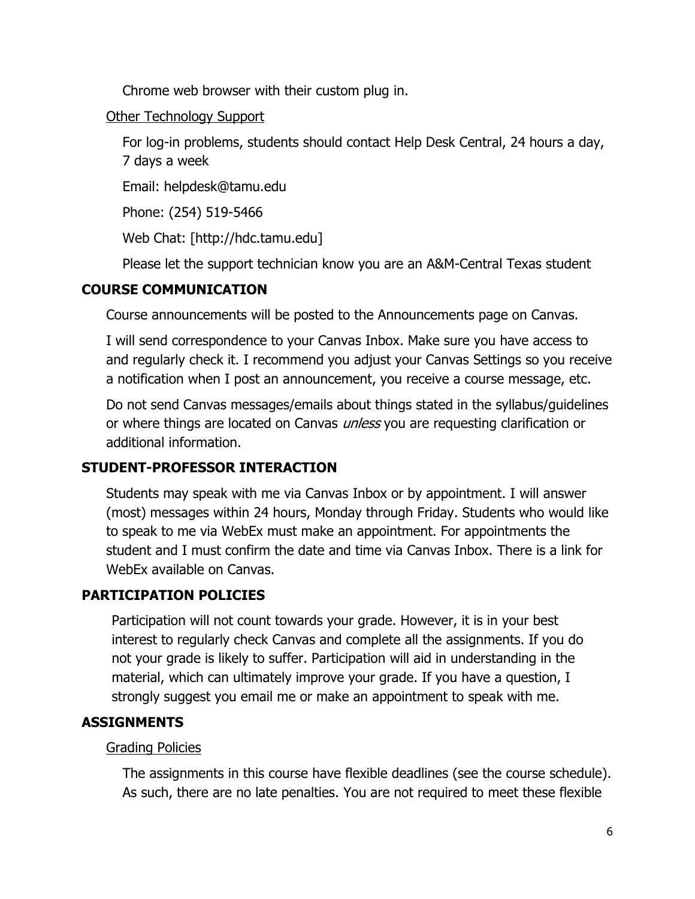Chrome web browser with their custom plug in.

#### Other Technology Support

For log-in problems, students should contact Help Desk Central, 24 hours a day, 7 days a week

Email: helpdesk@tamu.edu

Phone: (254) 519-5466

Web Chat: [http://hdc.tamu.edu]

Please let the support technician know you are an A&M-Central Texas student

## **COURSE COMMUNICATION**

Course announcements will be posted to the Announcements page on Canvas.

I will send correspondence to your Canvas Inbox. Make sure you have access to and regularly check it. I recommend you adjust your Canvas Settings so you receive a notification when I post an announcement, you receive a course message, etc.

Do not send Canvas messages/emails about things stated in the syllabus/guidelines or where things are located on Canvas *unless* you are requesting clarification or additional information.

# **STUDENT-PROFESSOR INTERACTION**

Students may speak with me via Canvas Inbox or by appointment. I will answer (most) messages within 24 hours, Monday through Friday. Students who would like to speak to me via WebEx must make an appointment. For appointments the student and I must confirm the date and time via Canvas Inbox. There is a link for WebEx available on Canvas.

# **PARTICIPATION POLICIES**

Participation will not count towards your grade. However, it is in your best interest to regularly check Canvas and complete all the assignments. If you do not your grade is likely to suffer. Participation will aid in understanding in the material, which can ultimately improve your grade. If you have a question, I strongly suggest you email me or make an appointment to speak with me.

# **ASSIGNMENTS**

## Grading Policies

The assignments in this course have flexible deadlines (see the course schedule). As such, there are no late penalties. You are not required to meet these flexible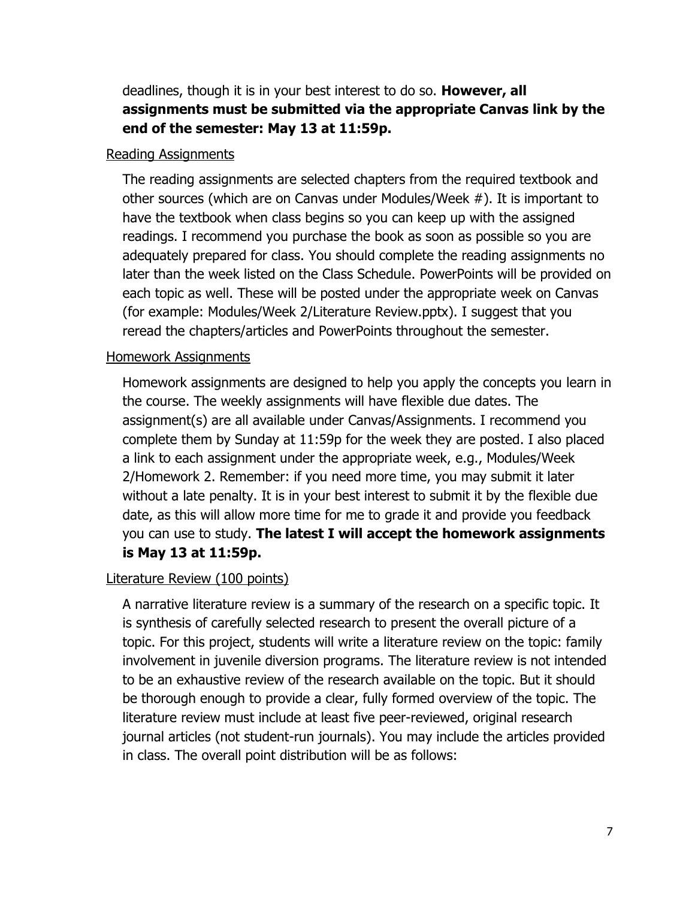deadlines, though it is in your best interest to do so. **However, all assignments must be submitted via the appropriate Canvas link by the end of the semester: May 13 at 11:59p.**

#### Reading Assignments

The reading assignments are selected chapters from the required textbook and other sources (which are on Canvas under Modules/Week #). It is important to have the textbook when class begins so you can keep up with the assigned readings. I recommend you purchase the book as soon as possible so you are adequately prepared for class. You should complete the reading assignments no later than the week listed on the Class Schedule. PowerPoints will be provided on each topic as well. These will be posted under the appropriate week on Canvas (for example: Modules/Week 2/Literature Review.pptx). I suggest that you reread the chapters/articles and PowerPoints throughout the semester.

#### Homework Assignments

Homework assignments are designed to help you apply the concepts you learn in the course. The weekly assignments will have flexible due dates. The assignment(s) are all available under Canvas/Assignments. I recommend you complete them by Sunday at 11:59p for the week they are posted. I also placed a link to each assignment under the appropriate week, e.g., Modules/Week 2/Homework 2. Remember: if you need more time, you may submit it later without a late penalty. It is in your best interest to submit it by the flexible due date, as this will allow more time for me to grade it and provide you feedback you can use to study. **The latest I will accept the homework assignments is May 13 at 11:59p.**

#### Literature Review (100 points)

A narrative literature review is a summary of the research on a specific topic. It is synthesis of carefully selected research to present the overall picture of a topic. For this project, students will write a literature review on the topic: family involvement in juvenile diversion programs. The literature review is not intended to be an exhaustive review of the research available on the topic. But it should be thorough enough to provide a clear, fully formed overview of the topic. The literature review must include at least five peer-reviewed, original research journal articles (not student-run journals). You may include the articles provided in class. The overall point distribution will be as follows: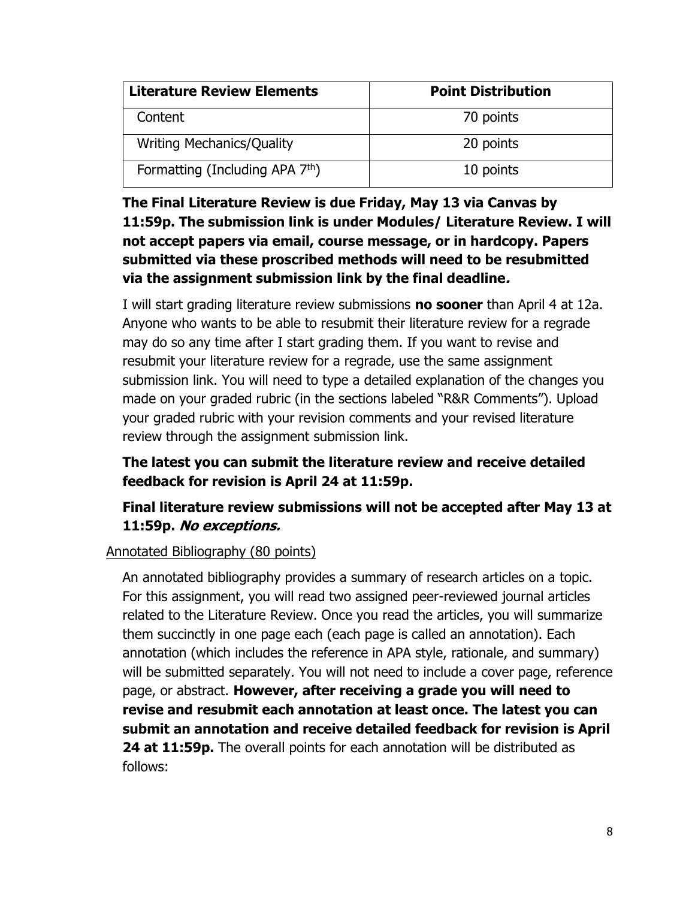| <b>Literature Review Elements</b>           | <b>Point Distribution</b> |  |
|---------------------------------------------|---------------------------|--|
| Content                                     | 70 points                 |  |
| <b>Writing Mechanics/Quality</b>            | 20 points                 |  |
| Formatting (Including APA 7 <sup>th</sup> ) | 10 points                 |  |

## **The Final Literature Review is due Friday, May 13 via Canvas by 11:59p. The submission link is under Modules/ Literature Review. I will not accept papers via email, course message, or in hardcopy. Papers submitted via these proscribed methods will need to be resubmitted via the assignment submission link by the final deadline.**

I will start grading literature review submissions **no sooner** than April 4 at 12a. Anyone who wants to be able to resubmit their literature review for a regrade may do so any time after I start grading them. If you want to revise and resubmit your literature review for a regrade, use the same assignment submission link. You will need to type a detailed explanation of the changes you made on your graded rubric (in the sections labeled "R&R Comments"). Upload your graded rubric with your revision comments and your revised literature review through the assignment submission link.

## **The latest you can submit the literature review and receive detailed feedback for revision is April 24 at 11:59p.**

# **Final literature review submissions will not be accepted after May 13 at 11:59p. No exceptions.**

### Annotated Bibliography (80 points)

An annotated bibliography provides a summary of research articles on a topic. For this assignment, you will read two assigned peer-reviewed journal articles related to the Literature Review. Once you read the articles, you will summarize them succinctly in one page each (each page is called an annotation). Each annotation (which includes the reference in APA style, rationale, and summary) will be submitted separately. You will not need to include a cover page, reference page, or abstract. **However, after receiving a grade you will need to revise and resubmit each annotation at least once. The latest you can submit an annotation and receive detailed feedback for revision is April 24 at 11:59p.** The overall points for each annotation will be distributed as follows: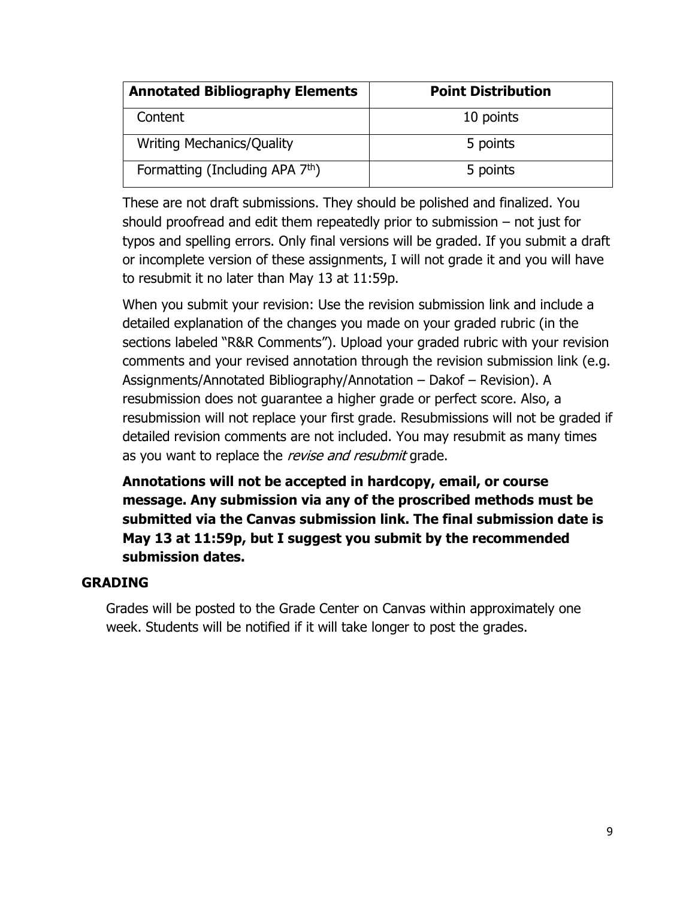| <b>Annotated Bibliography Elements</b>      | <b>Point Distribution</b> |
|---------------------------------------------|---------------------------|
| Content                                     | 10 points                 |
| <b>Writing Mechanics/Quality</b>            | 5 points                  |
| Formatting (Including APA 7 <sup>th</sup> ) | 5 points                  |

These are not draft submissions. They should be polished and finalized. You should proofread and edit them repeatedly prior to submission – not just for typos and spelling errors. Only final versions will be graded. If you submit a draft or incomplete version of these assignments, I will not grade it and you will have to resubmit it no later than May 13 at 11:59p.

When you submit your revision: Use the revision submission link and include a detailed explanation of the changes you made on your graded rubric (in the sections labeled "R&R Comments"). Upload your graded rubric with your revision comments and your revised annotation through the revision submission link (e.g. Assignments/Annotated Bibliography/Annotation – Dakof – Revision). A resubmission does not guarantee a higher grade or perfect score. Also, a resubmission will not replace your first grade. Resubmissions will not be graded if detailed revision comments are not included. You may resubmit as many times as you want to replace the revise and resubmit grade.

## **Annotations will not be accepted in hardcopy, email, or course message. Any submission via any of the proscribed methods must be submitted via the Canvas submission link. The final submission date is May 13 at 11:59p, but I suggest you submit by the recommended submission dates.**

### **GRADING**

Grades will be posted to the Grade Center on Canvas within approximately one week. Students will be notified if it will take longer to post the grades.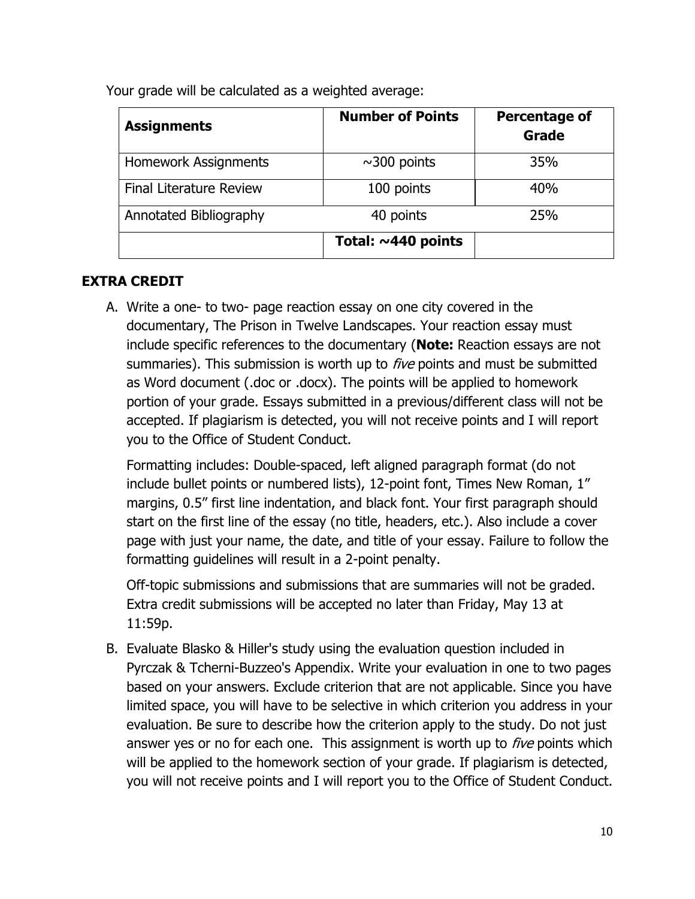Your grade will be calculated as a weighted average:

| <b>Assignments</b>             | <b>Number of Points</b>  | <b>Percentage of</b><br>Grade |
|--------------------------------|--------------------------|-------------------------------|
| Homework Assignments           | $\sim$ 300 points        | 35%                           |
| <b>Final Literature Review</b> | 100 points               | 40%                           |
| Annotated Bibliography         | 40 points                | 25%                           |
|                                | Total: $\sim$ 440 points |                               |

# **EXTRA CREDIT**

A. Write a one- to two- page reaction essay on one city covered in the documentary, The Prison in Twelve Landscapes. Your reaction essay must include specific references to the documentary (**Note:** Reaction essays are not summaries). This submission is worth up to  $five$  points and must be submitted as Word document (.doc or .docx). The points will be applied to homework portion of your grade. Essays submitted in a previous/different class will not be accepted. If plagiarism is detected, you will not receive points and I will report you to the Office of Student Conduct.

Formatting includes: Double-spaced, left aligned paragraph format (do not include bullet points or numbered lists), 12-point font, Times New Roman, 1" margins, 0.5" first line indentation, and black font. Your first paragraph should start on the first line of the essay (no title, headers, etc.). Also include a cover page with just your name, the date, and title of your essay. Failure to follow the formatting guidelines will result in a 2-point penalty.

Off-topic submissions and submissions that are summaries will not be graded. Extra credit submissions will be accepted no later than Friday, May 13 at 11:59p.

B. Evaluate Blasko & Hiller's study using the evaluation question included in Pyrczak & Tcherni-Buzzeo's Appendix. Write your evaluation in one to two pages based on your answers. Exclude criterion that are not applicable. Since you have limited space, you will have to be selective in which criterion you address in your evaluation. Be sure to describe how the criterion apply to the study. Do not just answer yes or no for each one. This assignment is worth up to *five* points which will be applied to the homework section of your grade. If plagiarism is detected, you will not receive points and I will report you to the Office of Student Conduct.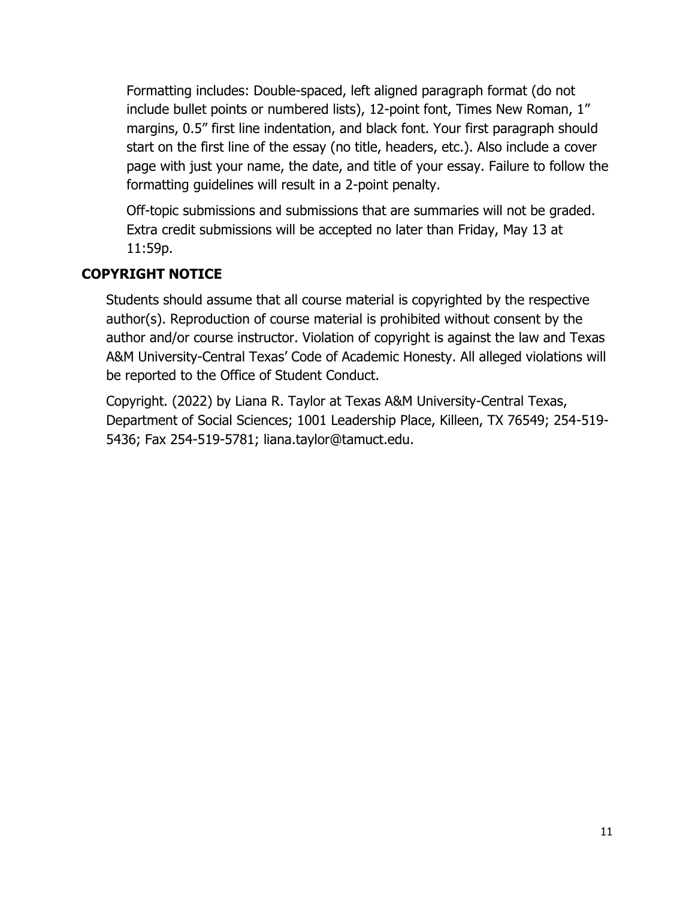Formatting includes: Double-spaced, left aligned paragraph format (do not include bullet points or numbered lists), 12-point font, Times New Roman, 1" margins, 0.5" first line indentation, and black font. Your first paragraph should start on the first line of the essay (no title, headers, etc.). Also include a cover page with just your name, the date, and title of your essay. Failure to follow the formatting guidelines will result in a 2-point penalty.

Off-topic submissions and submissions that are summaries will not be graded. Extra credit submissions will be accepted no later than Friday, May 13 at 11:59p.

## **COPYRIGHT NOTICE**

Students should assume that all course material is copyrighted by the respective author(s). Reproduction of course material is prohibited without consent by the author and/or course instructor. Violation of copyright is against the law and Texas A&M University-Central Texas' Code of Academic Honesty. All alleged violations will be reported to the Office of Student Conduct.

Copyright. (2022) by Liana R. Taylor at Texas A&M University-Central Texas, Department of Social Sciences; 1001 Leadership Place, Killeen, TX 76549; 254-519- 5436; Fax 254-519-5781; liana.taylor@tamuct.edu.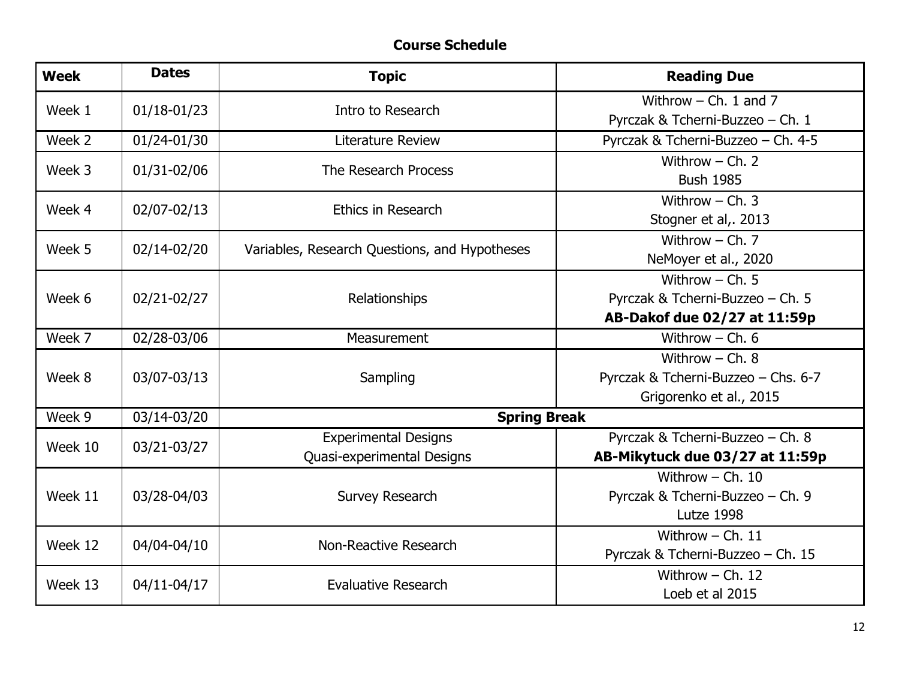## **Course Schedule**

| <b>Week</b>           | <b>Dates</b>      | <b>Topic</b>                                  | <b>Reading Due</b>                  |
|-----------------------|-------------------|-----------------------------------------------|-------------------------------------|
| Week 1<br>01/18-01/23 |                   |                                               | Withrow $-$ Ch. 1 and 7             |
|                       | Intro to Research | Pyrczak & Tcherni-Buzzeo - Ch. 1              |                                     |
| Week 2                | 01/24-01/30       | <b>Literature Review</b>                      | Pyrczak & Tcherni-Buzzeo - Ch. 4-5  |
| Week 3<br>01/31-02/06 |                   | The Research Process                          | Withrow $-$ Ch. 2                   |
|                       |                   |                                               | <b>Bush 1985</b>                    |
| Week 4                | 02/07-02/13       | Ethics in Research                            | Withrow $-$ Ch. 3                   |
|                       |                   |                                               | Stogner et al,. 2013                |
| Week 5<br>02/14-02/20 |                   | Variables, Research Questions, and Hypotheses | Withrow $-$ Ch. 7                   |
|                       |                   |                                               | NeMoyer et al., 2020                |
|                       |                   | Relationships                                 | Withrow $-$ Ch. 5                   |
| Week 6                | 02/21-02/27       |                                               | Pyrczak & Tcherni-Buzzeo - Ch. 5    |
|                       |                   |                                               | AB-Dakof due 02/27 at 11:59p        |
| Week 7                | 02/28-03/06       | Measurement                                   | Withrow $-$ Ch. 6                   |
|                       |                   | Sampling                                      | Withrow $-$ Ch. $8$                 |
| Week 8                | 03/07-03/13       |                                               | Pyrczak & Tcherni-Buzzeo - Chs. 6-7 |
|                       |                   |                                               | Grigorenko et al., 2015             |
| Week 9                | 03/14-03/20       | <b>Spring Break</b>                           |                                     |
|                       |                   | <b>Experimental Designs</b>                   | Pyrczak & Tcherni-Buzzeo - Ch. 8    |
| Week 10               | 03/21-03/27       | Quasi-experimental Designs                    | AB-Mikytuck due 03/27 at 11:59p     |
| Week 11               |                   | <b>Survey Research</b>                        | Withrow $-$ Ch. 10                  |
|                       | 03/28-04/03       |                                               | Pyrczak & Tcherni-Buzzeo - Ch. 9    |
|                       |                   |                                               | Lutze 1998                          |
| Week 12               | 04/04-04/10       | Non-Reactive Research                         | Withrow $-$ Ch. 11                  |
|                       |                   |                                               | Pyrczak & Tcherni-Buzzeo - Ch. 15   |
| Week 13               |                   | Evaluative Research                           | Withrow $-$ Ch. 12                  |
|                       | 04/11-04/17       |                                               | Loeb et al 2015                     |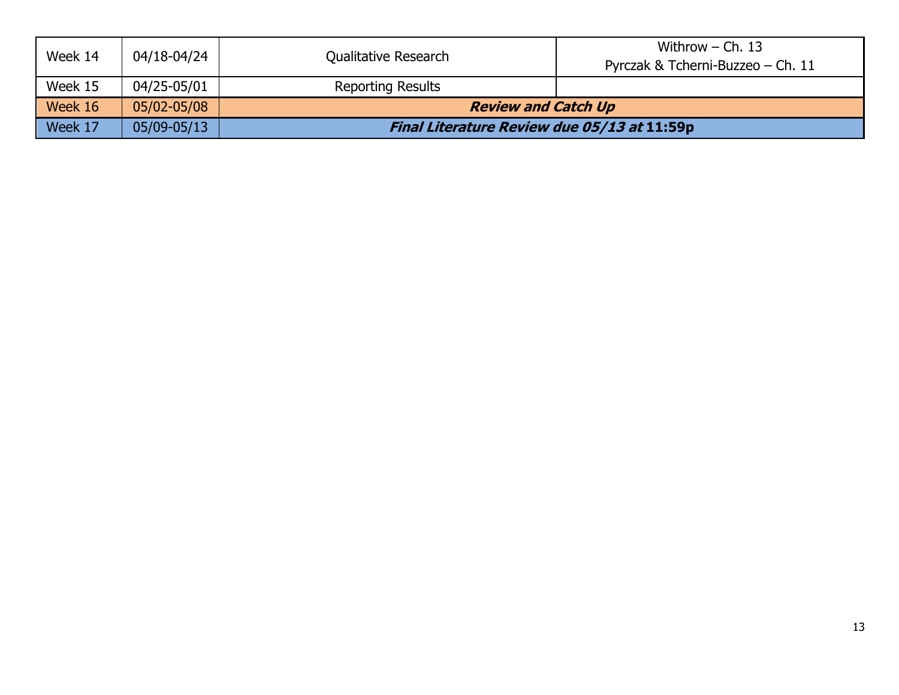| Week 14 | 04/18-04/24 | Qualitative Research                        | Withrow $-$ Ch. 13<br>Pyrczak & Tcherni-Buzzeo – Ch. 11 |
|---------|-------------|---------------------------------------------|---------------------------------------------------------|
| Week 15 | 04/25-05/01 | <b>Reporting Results</b>                    |                                                         |
| Week 16 | 05/02-05/08 | <b>Review and Catch Up</b>                  |                                                         |
| Week 17 | 05/09-05/13 | Final Literature Review due 05/13 at 11:59p |                                                         |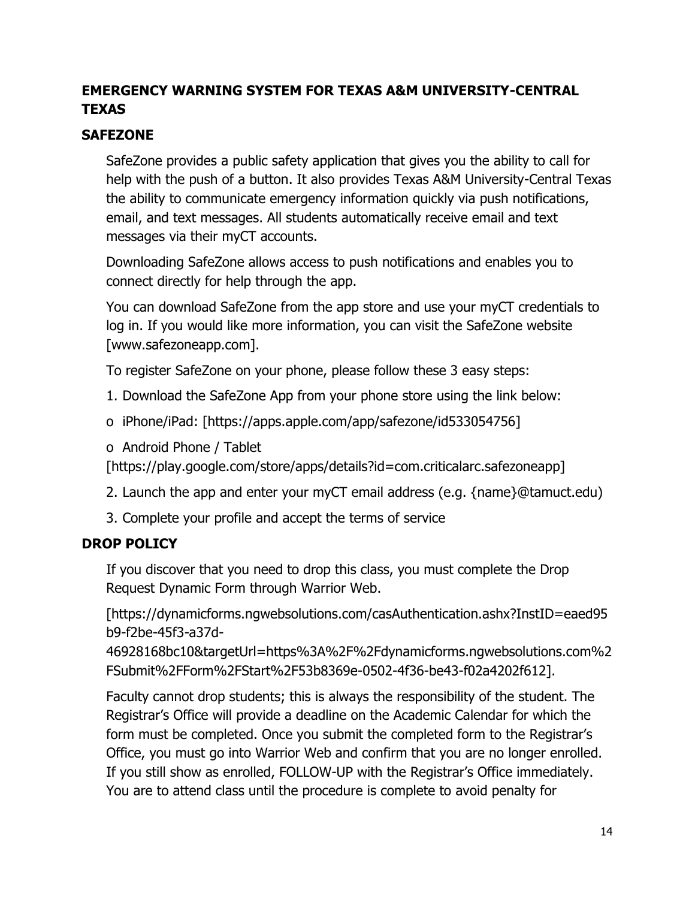# **EMERGENCY WARNING SYSTEM FOR TEXAS A&M UNIVERSITY-CENTRAL TEXAS**

## **SAFEZONE**

SafeZone provides a public safety application that gives you the ability to call for help with the push of a button. It also provides Texas A&M University-Central Texas the ability to communicate emergency information quickly via push notifications, email, and text messages. All students automatically receive email and text messages via their myCT accounts.

Downloading SafeZone allows access to push notifications and enables you to connect directly for help through the app.

You can download SafeZone from the app store and use your myCT credentials to log in. If you would like more information, you can visit the SafeZone website [www.safezoneapp.com].

To register SafeZone on your phone, please follow these 3 easy steps:

- 1. Download the SafeZone App from your phone store using the link below:
- o iPhone/iPad: [https://apps.apple.com/app/safezone/id533054756]
- o Android Phone / Tablet

[https://play.google.com/store/apps/details?id=com.criticalarc.safezoneapp]

- 2. Launch the app and enter your myCT email address (e.g. {name}@tamuct.edu)
- 3. Complete your profile and accept the terms of service

### **DROP POLICY**

If you discover that you need to drop this class, you must complete the Drop Request Dynamic Form through Warrior Web.

[https://dynamicforms.ngwebsolutions.com/casAuthentication.ashx?InstID=eaed95 b9-f2be-45f3-a37d-

46928168bc10&targetUrl=https%3A%2F%2Fdynamicforms.ngwebsolutions.com%2 FSubmit%2FForm%2FStart%2F53b8369e-0502-4f36-be43-f02a4202f612].

Faculty cannot drop students; this is always the responsibility of the student. The Registrar's Office will provide a deadline on the Academic Calendar for which the form must be completed. Once you submit the completed form to the Registrar's Office, you must go into Warrior Web and confirm that you are no longer enrolled. If you still show as enrolled, FOLLOW-UP with the Registrar's Office immediately. You are to attend class until the procedure is complete to avoid penalty for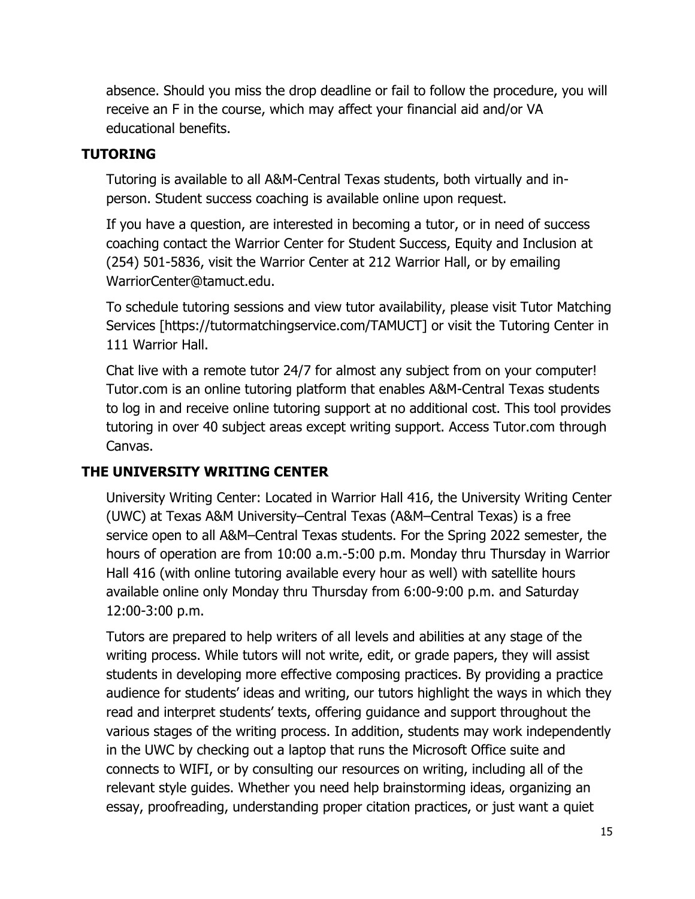absence. Should you miss the drop deadline or fail to follow the procedure, you will receive an F in the course, which may affect your financial aid and/or VA educational benefits.

## **TUTORING**

Tutoring is available to all A&M-Central Texas students, both virtually and inperson. Student success coaching is available online upon request.

If you have a question, are interested in becoming a tutor, or in need of success coaching contact the Warrior Center for Student Success, Equity and Inclusion at (254) 501-5836, visit the Warrior Center at 212 Warrior Hall, or by emailing WarriorCenter@tamuct.edu.

To schedule tutoring sessions and view tutor availability, please visit Tutor Matching Services [https://tutormatchingservice.com/TAMUCT] or visit the Tutoring Center in 111 Warrior Hall.

Chat live with a remote tutor 24/7 for almost any subject from on your computer! Tutor.com is an online tutoring platform that enables A&M-Central Texas students to log in and receive online tutoring support at no additional cost. This tool provides tutoring in over 40 subject areas except writing support. Access Tutor.com through Canvas.

### **THE UNIVERSITY WRITING CENTER**

University Writing Center: Located in Warrior Hall 416, the University Writing Center (UWC) at Texas A&M University–Central Texas (A&M–Central Texas) is a free service open to all A&M–Central Texas students. For the Spring 2022 semester, the hours of operation are from 10:00 a.m.-5:00 p.m. Monday thru Thursday in Warrior Hall 416 (with online tutoring available every hour as well) with satellite hours available online only Monday thru Thursday from 6:00-9:00 p.m. and Saturday 12:00-3:00 p.m.

Tutors are prepared to help writers of all levels and abilities at any stage of the writing process. While tutors will not write, edit, or grade papers, they will assist students in developing more effective composing practices. By providing a practice audience for students' ideas and writing, our tutors highlight the ways in which they read and interpret students' texts, offering guidance and support throughout the various stages of the writing process. In addition, students may work independently in the UWC by checking out a laptop that runs the Microsoft Office suite and connects to WIFI, or by consulting our resources on writing, including all of the relevant style guides. Whether you need help brainstorming ideas, organizing an essay, proofreading, understanding proper citation practices, or just want a quiet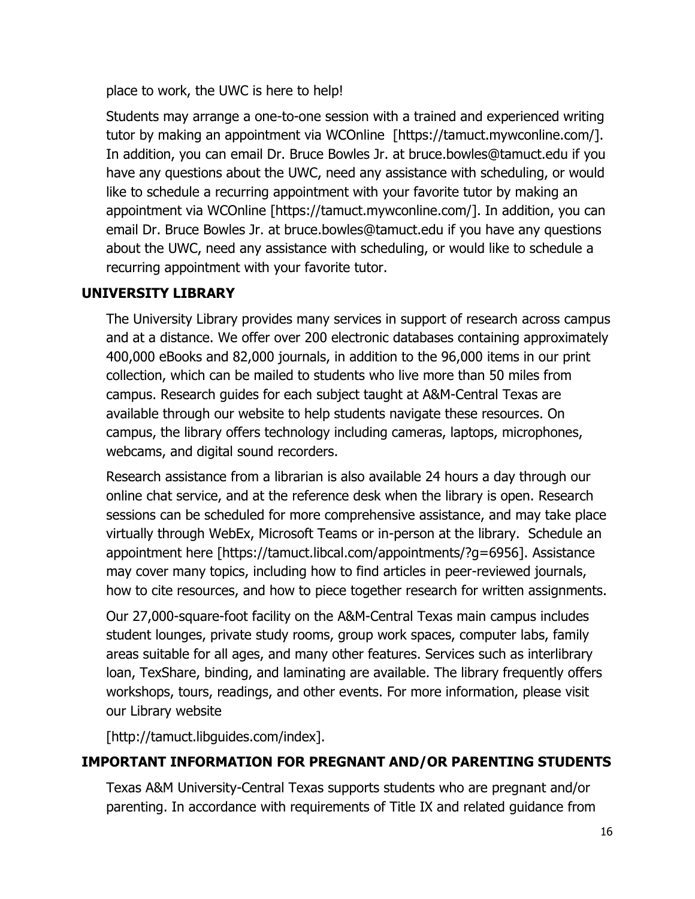place to work, the UWC is here to help!

Students may arrange a one-to-one session with a trained and experienced writing tutor by making an appointment via WCOnline [https://tamuct.mywconline.com/]. In addition, you can email Dr. Bruce Bowles Jr. at bruce.bowles@tamuct.edu if you have any questions about the UWC, need any assistance with scheduling, or would like to schedule a recurring appointment with your favorite tutor by making an appointment via WCOnline [https://tamuct.mywconline.com/]. In addition, you can email Dr. Bruce Bowles Jr. at bruce.bowles@tamuct.edu if you have any questions about the UWC, need any assistance with scheduling, or would like to schedule a recurring appointment with your favorite tutor.

## **UNIVERSITY LIBRARY**

The University Library provides many services in support of research across campus and at a distance. We offer over 200 electronic databases containing approximately 400,000 eBooks and 82,000 journals, in addition to the 96,000 items in our print collection, which can be mailed to students who live more than 50 miles from campus. Research guides for each subject taught at A&M-Central Texas are available through our website to help students navigate these resources. On campus, the library offers technology including cameras, laptops, microphones, webcams, and digital sound recorders.

Research assistance from a librarian is also available 24 hours a day through our online chat service, and at the reference desk when the library is open. Research sessions can be scheduled for more comprehensive assistance, and may take place virtually through WebEx, Microsoft Teams or in-person at the library. Schedule an appointment here [https://tamuct.libcal.com/appointments/?g=6956]. Assistance may cover many topics, including how to find articles in peer-reviewed journals, how to cite resources, and how to piece together research for written assignments.

Our 27,000-square-foot facility on the A&M-Central Texas main campus includes student lounges, private study rooms, group work spaces, computer labs, family areas suitable for all ages, and many other features. Services such as interlibrary loan, TexShare, binding, and laminating are available. The library frequently offers workshops, tours, readings, and other events. For more information, please visit our Library website

[http://tamuct.libguides.com/index].

### **IMPORTANT INFORMATION FOR PREGNANT AND/OR PARENTING STUDENTS**

Texas A&M University-Central Texas supports students who are pregnant and/or parenting. In accordance with requirements of Title IX and related guidance from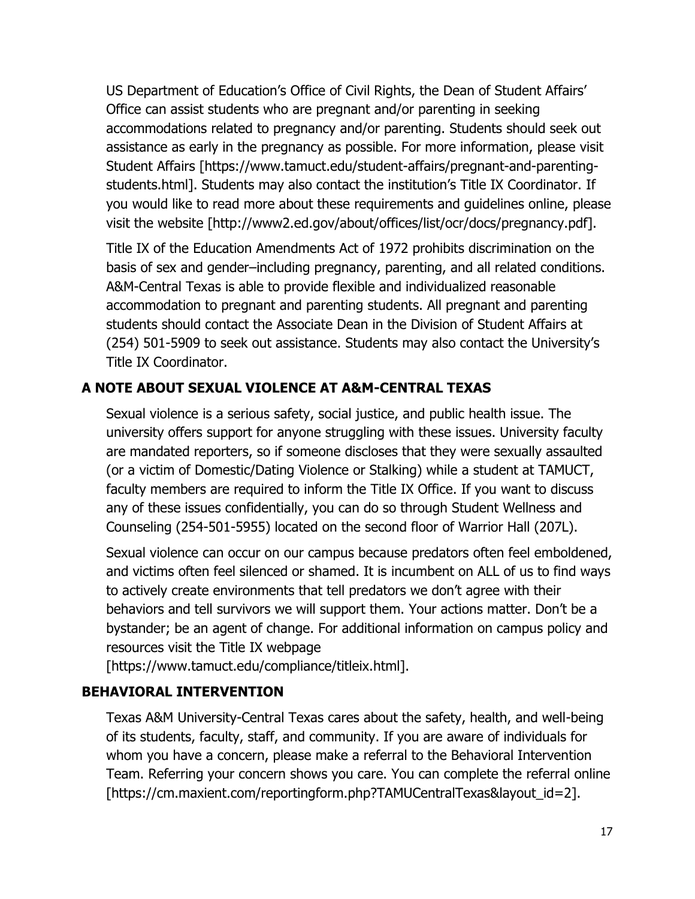US Department of Education's Office of Civil Rights, the Dean of Student Affairs' Office can assist students who are pregnant and/or parenting in seeking accommodations related to pregnancy and/or parenting. Students should seek out assistance as early in the pregnancy as possible. For more information, please visit Student Affairs [https://www.tamuct.edu/student-affairs/pregnant-and-parentingstudents.html]. Students may also contact the institution's Title IX Coordinator. If you would like to read more about these requirements and guidelines online, please visit the website [http://www2.ed.gov/about/offices/list/ocr/docs/pregnancy.pdf].

Title IX of the Education Amendments Act of 1972 prohibits discrimination on the basis of sex and gender–including pregnancy, parenting, and all related conditions. A&M-Central Texas is able to provide flexible and individualized reasonable accommodation to pregnant and parenting students. All pregnant and parenting students should contact the Associate Dean in the Division of Student Affairs at (254) 501-5909 to seek out assistance. Students may also contact the University's Title IX Coordinator.

## **A NOTE ABOUT SEXUAL VIOLENCE AT A&M-CENTRAL TEXAS**

Sexual violence is a serious safety, social justice, and public health issue. The university offers support for anyone struggling with these issues. University faculty are mandated reporters, so if someone discloses that they were sexually assaulted (or a victim of Domestic/Dating Violence or Stalking) while a student at TAMUCT, faculty members are required to inform the Title IX Office. If you want to discuss any of these issues confidentially, you can do so through Student Wellness and Counseling (254-501-5955) located on the second floor of Warrior Hall (207L).

Sexual violence can occur on our campus because predators often feel emboldened, and victims often feel silenced or shamed. It is incumbent on ALL of us to find ways to actively create environments that tell predators we don't agree with their behaviors and tell survivors we will support them. Your actions matter. Don't be a bystander; be an agent of change. For additional information on campus policy and resources visit the Title IX webpage

[https://www.tamuct.edu/compliance/titleix.html].

### **BEHAVIORAL INTERVENTION**

Texas A&M University-Central Texas cares about the safety, health, and well-being of its students, faculty, staff, and community. If you are aware of individuals for whom you have a concern, please make a referral to the Behavioral Intervention Team. Referring your concern shows you care. You can complete the referral online [https://cm.maxient.com/reportingform.php?TAMUCentralTexas&layout\_id=2].